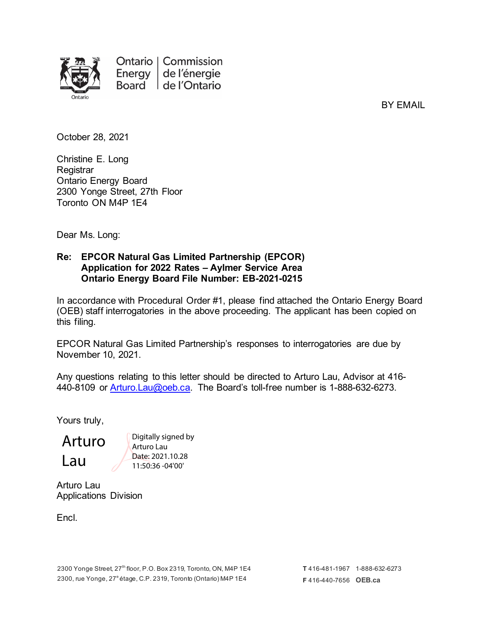

BY EMAIL

October 28, 2021

Christine E. Long **Registrar** Ontario Energy Board 2300 Yonge Street, 27th Floor Toronto ON M4P 1E4

Dear Ms. Long:

### **Re: EPCOR Natural Gas Limited Partnership (EPCOR) Application for 2022 Rates – Aylmer Service Area Ontario Energy Board File Number: EB-2021-0215**

In accordance with Procedural Order #1, please find attached the Ontario Energy Board (OEB) staff interrogatories in the above proceeding. The applicant has been copied on this filing.

EPCOR Natural Gas Limited Partnership's responses to interrogatories are due by November 10, 2021.

Any questions relating to this letter should be directed to Arturo Lau, Advisor at 416- 440-8109 or [Arturo.Lau@oeb.ca.](mailto:Arturo.Lau@oeb.ca) The Board's toll-free number is 1-888-632-6273.

Yours truly,

Arturo Lau

Digitally signed by Arturo Lau Date: 2021.10.28 11:50:36 -04'00'

Arturo Lau Applications Division

Encl.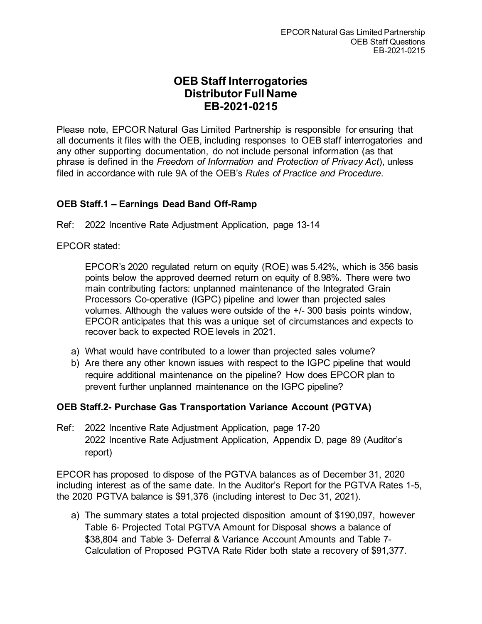# **OEB Staff Interrogatories Distributor Full Name EB-2021-0215**

Please note, EPCOR Natural Gas Limited Partnership is responsible for ensuring that all documents it files with the OEB, including responses to OEB staff interrogatories and any other supporting documentation, do not include personal information (as that phrase is defined in the *Freedom of Information and Protection of Privacy Act*), unless filed in accordance with rule 9A of the OEB's *Rules of Practice and Procedure*.

## **OEB Staff.1 – Earnings Dead Band Off-Ramp**

Ref: 2022 Incentive Rate Adjustment Application, page 13-14

EPCOR stated:

EPCOR's 2020 regulated return on equity (ROE) was 5.42%, which is 356 basis points below the approved deemed return on equity of 8.98%. There were two main contributing factors: unplanned maintenance of the Integrated Grain Processors Co-operative (IGPC) pipeline and lower than projected sales volumes. Although the values were outside of the +/- 300 basis points window, EPCOR anticipates that this was a unique set of circumstances and expects to recover back to expected ROE levels in 2021.

- a) What would have contributed to a lower than projected sales volume?
- b) Are there any other known issues with respect to the IGPC pipeline that would require additional maintenance on the pipeline? How does EPCOR plan to prevent further unplanned maintenance on the IGPC pipeline?

## **OEB Staff.2- Purchase Gas Transportation Variance Account (PGTVA)**

Ref: 2022 Incentive Rate Adjustment Application, page 17-20 2022 Incentive Rate Adjustment Application, Appendix D, page 89 (Auditor's report)

EPCOR has proposed to dispose of the PGTVA balances as of December 31, 2020 including interest as of the same date. In the Auditor's Report for the PGTVA Rates 1-5, the 2020 PGTVA balance is \$91,376 (including interest to Dec 31, 2021).

a) The summary states a total projected disposition amount of \$190,097, however Table 6- Projected Total PGTVA Amount for Disposal shows a balance of \$38,804 and Table 3- Deferral & Variance Account Amounts and Table 7- Calculation of Proposed PGTVA Rate Rider both state a recovery of \$91,377.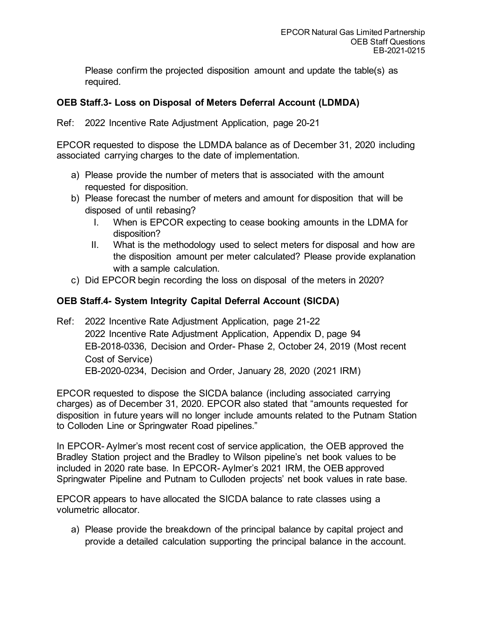Please confirm the projected disposition amount and update the table(s) as required.

## **OEB Staff.3- Loss on Disposal of Meters Deferral Account (LDMDA)**

Ref: 2022 Incentive Rate Adjustment Application, page 20-21

EPCOR requested to dispose the LDMDA balance as of December 31, 2020 including associated carrying charges to the date of implementation.

- a) Please provide the number of meters that is associated with the amount requested for disposition.
- b) Please forecast the number of meters and amount for disposition that will be disposed of until rebasing?
	- I. When is EPCOR expecting to cease booking amounts in the LDMA for disposition?
	- II. What is the methodology used to select meters for disposal and how are the disposition amount per meter calculated? Please provide explanation with a sample calculation.
- c) Did EPCOR begin recording the loss on disposal of the meters in 2020?

## **OEB Staff.4- System Integrity Capital Deferral Account (SICDA)**

Ref: 2022 Incentive Rate Adjustment Application, page 21-22 2022 Incentive Rate Adjustment Application, Appendix D, page 94 EB-2018-0336, Decision and Order- Phase 2, October 24, 2019 (Most recent Cost of Service) EB-2020-0234, Decision and Order, January 28, 2020 (2021 IRM)

EPCOR requested to dispose the SICDA balance (including associated carrying charges) as of December 31, 2020. EPCOR also stated that "amounts requested for disposition in future years will no longer include amounts related to the Putnam Station to Colloden Line or Springwater Road pipelines."

In EPCOR- Aylmer's most recent cost of service application, the OEB approved the Bradley Station project and the Bradley to Wilson pipeline's net book values to be included in 2020 rate base. In EPCOR- Aylmer's 2021 IRM, the OEB approved Springwater Pipeline and Putnam to Culloden projects' net book values in rate base.

EPCOR appears to have allocated the SICDA balance to rate classes using a volumetric allocator.

a) Please provide the breakdown of the principal balance by capital project and provide a detailed calculation supporting the principal balance in the account.